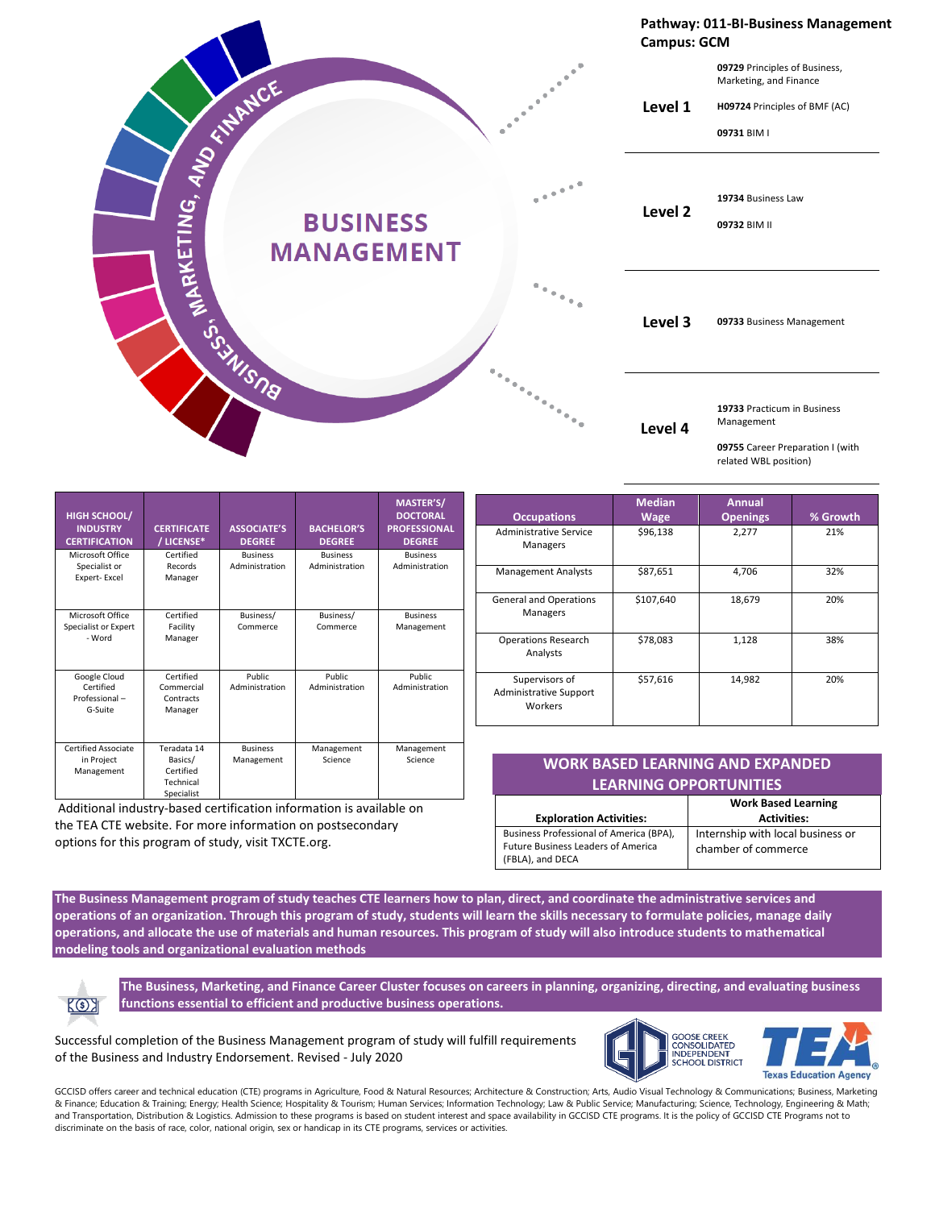

| <b>HIGH SCHOOL/</b><br><b>INDUSTRY</b><br><b>CERTIFICATION</b> | <b>CERTIFICATE</b><br>/ LICENSE*                               | <b>ASSOCIATE'S</b><br><b>DEGREE</b> | <b>BACHELOR'S</b><br><b>DEGREE</b> | MASTER'S/<br><b>DOCTORAL</b><br><b>PROFESSIONAL</b><br><b>DEGREE</b> |
|----------------------------------------------------------------|----------------------------------------------------------------|-------------------------------------|------------------------------------|----------------------------------------------------------------------|
| Microsoft Office<br>Specialist or<br>Expert-Excel              | Certified<br>Records<br>Manager                                | <b>Business</b><br>Administration   | <b>Business</b><br>Administration  | <b>Business</b><br>Administration                                    |
| Microsoft Office<br>Specialist or Expert<br>- Word             | Certified<br>Facility<br>Manager                               | Business/<br>Commerce               | Business/<br>Commerce              | <b>Business</b><br>Management                                        |
| Google Cloud<br>Certified<br>Professional-<br>G-Suite          | Certified<br>Commercial<br>Contracts<br>Manager                | Public<br>Administration            | <b>Public</b><br>Administration    | Public.<br>Administration                                            |
| Certified Associate<br>in Project<br>Management                | Teradata 14<br>Basics/<br>Certified<br>Technical<br>Specialist | <b>Business</b><br>Management       | Management<br>Science              | Management<br>Science                                                |

Additional industry-based certification information is available on the TEA CTE website. For more information on postsecondary options for this program of study, visit TXCTE.org.

| <b>Occupations</b>                                         | <b>Median</b><br><b>Wage</b> | <b>Annual</b><br><b>Openings</b> | % Growth |
|------------------------------------------------------------|------------------------------|----------------------------------|----------|
| Administrative Service<br>Managers                         | \$96,138                     | 2.277                            | 21%      |
| <b>Management Analysts</b>                                 | \$87,651                     | 4.706                            | 32%      |
| <b>General and Operations</b><br>Managers                  | \$107,640                    | 18,679                           | 20%      |
| <b>Operations Research</b><br>Analysts                     | \$78,083                     | 1,128                            | 38%      |
| Supervisors of<br><b>Administrative Support</b><br>Workers | \$57,616                     | 14,982                           | 20%      |

## **WORK BASED LEARNING AND EXPANDED LEARNING OPPORTUNITIES**

|                                                                                                          | <b>Work Based Learning</b>                               |
|----------------------------------------------------------------------------------------------------------|----------------------------------------------------------|
| <b>Exploration Activities:</b>                                                                           | <b>Activities:</b>                                       |
| Business Professional of America (BPA),<br><b>Future Business Leaders of America</b><br>(FBLA), and DECA | Internship with local business or<br>chamber of commerce |

**The Business Management program of study teaches CTE learners how to plan, direct, and coordinate the administrative services and operations of an organization. Through this program of study, students will learn the skills necessary to formulate policies, manage daily operations, and allocate the use of materials and human resources. This program of study will also introduce students to mathematical modeling tools and organizational evaluation methods**



**The Business, Marketing, and Finance Career Cluster focuses on careers in planning, organizing, directing, and evaluating business functions essential to efficient and productive business operations.**

Successful completion of the Business Management program of study will fulfill requirements of the Business and Industry Endorsement. Revised - July 2020



GCCISD offers career and technical education (CTE) programs in Agriculture, Food & Natural Resources; Architecture & Construction; Arts, Audio Visual Technology & Communications; Business, Marketing & Finance; Education & Training; Energy; Health Science; Hospitality & Tourism; Human Services; Information Technology; Law & Public Service; Manufacturing; Science, Technology, Engineering & Math; and Transportation, Distribution & Logistics. Admission to these programs is based on student interest and space availability in GCCISD CTE programs. It is the policy of GCCISD CTE Programs not to discriminate on the basis of race, color, national origin, sex or handicap in its CTE programs, services or activities.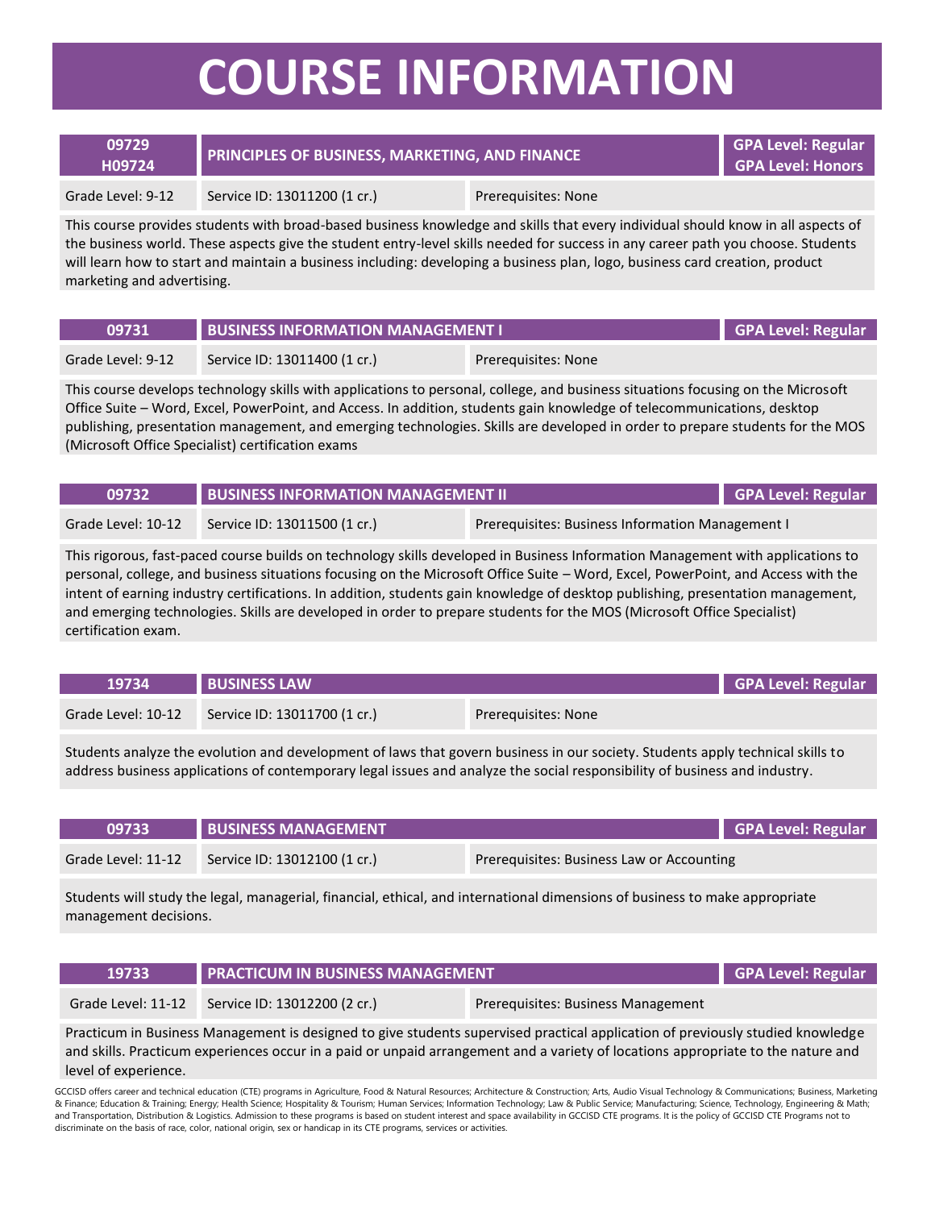## **COURSE INFORMATION**

| 09729<br>H09724   | <b>PRINCIPLES OF BUSINESS, MARKETING, AND FINANCE</b> |                     | GPA Level: Regular<br><b>GPA Level: Honors</b> |
|-------------------|-------------------------------------------------------|---------------------|------------------------------------------------|
| Grade Level: 9-12 | Service ID: 13011200 (1 cr.)                          | Prerequisites: None |                                                |

This course provides students with broad-based business knowledge and skills that every individual should know in all aspects of the business world. These aspects give the student entry-level skills needed for success in any career path you choose. Students will learn how to start and maintain a business including: developing a business plan, logo, business card creation, product marketing and advertising.

| 09731             | BUSINESS INFORMATION MANAGEMENT I |                     | <b>GPA Level: Regular</b> |
|-------------------|-----------------------------------|---------------------|---------------------------|
| Grade Level: 9-12 | Service ID: 13011400 (1 cr.)      | Prereguisites: None |                           |

This course develops technology skills with applications to personal, college, and business situations focusing on the Microsoft Office Suite – Word, Excel, PowerPoint, and Access. In addition, students gain knowledge of telecommunications, desktop publishing, presentation management, and emerging technologies. Skills are developed in order to prepare students for the MOS (Microsoft Office Specialist) certification exams

| 09732              | <b>BUSINESS INFORMATION MANAGEMENT II</b> |                                                  | GPA Level: Regular |
|--------------------|-------------------------------------------|--------------------------------------------------|--------------------|
| Grade Level: 10-12 | Service ID: 13011500 (1 cr.)              | Prerequisites: Business Information Management I |                    |

This rigorous, fast-paced course builds on technology skills developed in Business Information Management with applications to personal, college, and business situations focusing on the Microsoft Office Suite – Word, Excel, PowerPoint, and Access with the intent of earning industry certifications. In addition, students gain knowledge of desktop publishing, presentation management, and emerging technologies. Skills are developed in order to prepare students for the MOS (Microsoft Office Specialist) certification exam.

| 19734              | <b>BUSINESS LAW</b>          |                     | GPA Level: Regular |
|--------------------|------------------------------|---------------------|--------------------|
| Grade Level: 10-12 | Service ID: 13011700 (1 cr.) | Prereguisites: None |                    |

Students analyze the evolution and development of laws that govern business in our society. Students apply technical skills to address business applications of contemporary legal issues and analyze the social responsibility of business and industry.

| 09733              | <b>BUSINESS MANAGEMENT</b>   | GPA Level: Regular                        |  |
|--------------------|------------------------------|-------------------------------------------|--|
| Grade Level: 11-12 | Service ID: 13012100 (1 cr.) | Prerequisites: Business Law or Accounting |  |

Students will study the legal, managerial, financial, ethical, and international dimensions of business to make appropriate management decisions.

| 19733 | <b>PRACTICUM IN BUSINESS MANAGEMENT!</b>        |                                    | GPA Level: Regular |
|-------|-------------------------------------------------|------------------------------------|--------------------|
|       | Grade Level: 11-12 Service ID: 13012200 (2 cr.) | Prerequisites: Business Management |                    |

Practicum in Business Management is designed to give students supervised practical application of previously studied knowledge and skills. Practicum experiences occur in a paid or unpaid arrangement and a variety of locations appropriate to the nature and level of experience.

GCCISD offers career and technical education (CTE) programs in Agriculture, Food & Natural Resources; Architecture & Construction; Arts, Audio Visual Technology & Communications; Business, Marketing & Finance; Education & Training; Energy; Health Science; Hospitality & Tourism; Human Services; Information Technology; Law & Public Service; Manufacturing; Science, Technology, Engineering & Math; and Transportation, Distribution & Logistics. Admission to these programs is based on student interest and space availability in GCCISD CTE programs. It is the policy of GCCISD CTE Programs not to discriminate on the basis of race, color, national origin, sex or handicap in its CTE programs, services or activities.